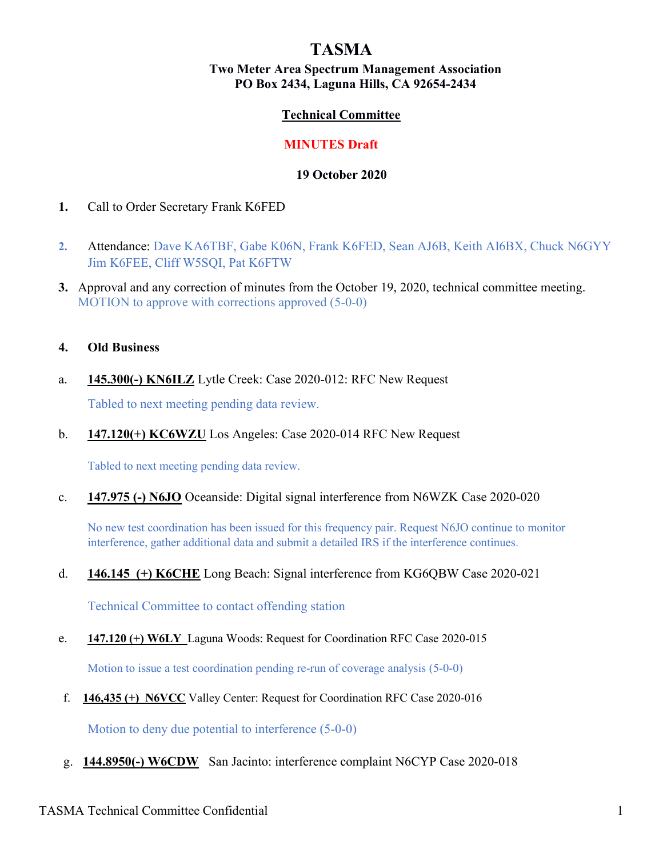# TASMA

### Two Meter Area Spectrum Management Association PO Box 2434, Laguna Hills, CA 92654-2434

### Technical Committee

#### MINUTES Draft

#### 19 October 2020

- 1. Call to Order Secretary Frank K6FED
- 2. Attendance: Dave KA6TBF, Gabe K06N, Frank K6FED, Sean AJ6B, Keith AI6BX, Chuck N6GYY Jim K6FEE, Cliff W5SQI, Pat K6FTW
- 3. Approval and any correction of minutes from the October 19, 2020, technical committee meeting. MOTION to approve with corrections approved (5-0-0)

#### 4. Old Business

a. 145.300(-) KN6ILZ Lytle Creek: Case 2020-012: RFC New Request

Tabled to next meeting pending data review.

b. 147.120(+) KC6WZU Los Angeles: Case 2020-014 RFC New Request

Tabled to next meeting pending data review.

c. 147.975 (-) N6JO Oceanside: Digital signal interference from N6WZK Case 2020-020

No new test coordination has been issued for this frequency pair. Request N6JO continue to monitor interference, gather additional data and submit a detailed IRS if the interference continues.

d. 146.145 (+) K6CHE Long Beach: Signal interference from KG6QBW Case 2020-021

Technical Committee to contact offending station

e. 147.120 (+) W6LY Laguna Woods: Request for Coordination RFC Case 2020-015

Motion to issue a test coordination pending re-run of coverage analysis (5-0-0)

f. 146,435 (+) N6VCC Valley Center: Request for Coordination RFC Case 2020-016

Motion to deny due potential to interference (5-0-0)

g. 144.8950(-) W6CDW San Jacinto: interference complaint N6CYP Case 2020-018